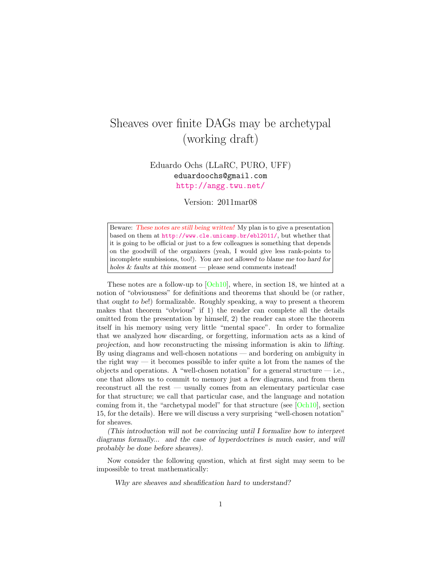# Sheaves over finite DAGs may be archetypal (working draft)

Eduardo Ochs (LLaRC, PURO, UFF) eduardoochs@gmail.com <http://angg.twu.net/>

Version: 2011mar08

Beware: These notes are still being written! My plan is to give a presentation based on them at <http://www.cle.unicamp.br/ebl2011/>, but whether that it is going to be official or just to a few colleagues is something that depends on the goodwill of the organizers (yeah, I would give less rank-points to incomplete sumbissions, too!). You are not allowed to blame me too hard for holes & faults at this moment — please send comments instead!

These notes are a follow-up to  $[Och10]$ , where, in section 18, we hinted at a notion of "obviousness" for definitions and theorems that should be (or rather, that ought to be!) formalizable. Roughly speaking, a way to present a theorem makes that theorem "obvious" if 1) the reader can complete all the details omitted from the presentation by himself, 2) the reader can store the theorem itself in his memory using very little "mental space". In order to formalize that we analyzed how discarding, or forgetting, information acts as a kind of projection, and how reconstructing the missing information is akin to lifting. By using diagrams and well-chosen notations — and bordering on ambiguity in the right way — it becomes possible to infer quite a lot from the names of the objects and operations. A "well-chosen notation" for a general structure  $-$  i.e., one that allows us to commit to memory just a few diagrams, and from them reconstruct all the rest — usually comes from an elementary particular case for that structure; we call that particular case, and the language and notation coming from it, the "archetypal model" for that structure (see  $[Och10]$ , section 15, for the details). Here we will discuss a very surprising "well-chosen notation" for sheaves.

(This introduction will not be convincing until I formalize how to interpret diagrams formally... and the case of hyperdoctrines is much easier, and will probably be done before sheaves).

Now consider the following question, which at first sight may seem to be impossible to treat mathematically:

Why are sheaves and sheafification hard to understand?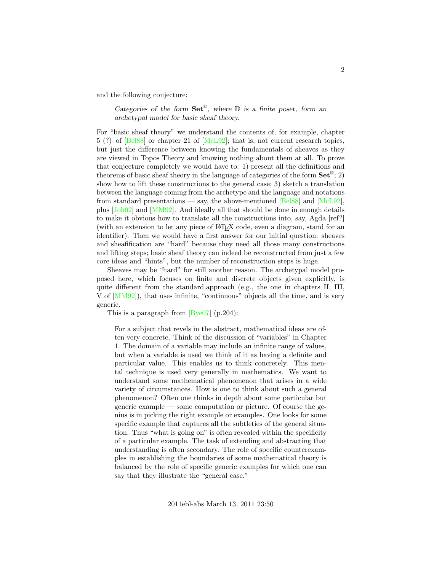and the following conjecture:

Categories of the form  $\mathbf{Set}^{\mathbb{D}}$ , where  $\mathbb D$  is a finite poset, form an archetypal model for basic sheaf theory.

For "basic sheaf theory" we understand the contents of, for example, chapter 5 (?) of [\[Bel88\]](#page-21-0) or chapter 21 of [\[McL92\]](#page-22-1); that is, not current research topics, but just the difference between knowing the fundamentals of sheaves as they are viewed in Topos Theory and knowing nothing about them at all. To prove that conjecture completely we would have to: 1) present all the definitions and theorems of basic sheaf theory in the language of categories of the form  $\mathbf{Set}^{\mathbb{D}}$ ; 2) show how to lift these constructions to the general case; 3) sketch a translation between the language coming from the archetype and the language and notations from standard presentations — say, the above-mentioned  $[Bel88]$  and  $[McL92]$ , plus [\[Joh02\]](#page-22-2) and [\[MM92\]](#page-22-3). And ideally all that should be done in enough details to make it obvious how to translate all the constructions into, say, Agda [ref?] (with an extension to let any piece of LATEX code, even a diagram, stand for an identifier). Then we would have a first answer for our initial question: sheaves and sheafification are "hard" because they need all those many constructions and lifting steps; basic sheaf theory can indeed be reconstructed from just a few core ideas and "hints", but the number of reconstruction steps is huge.

Sheaves may be "hard" for still another reason. The archetypal model proposed here, which focuses on finite and discrete objects given explicitly, is quite different from the standard,approach (e.g., the one in chapters II, III, V of [\[MM92\]](#page-22-3)), that uses infinite, "continuous" objects all the time, and is very generic.

This is a paragraph from [\[Bye07\]](#page-21-1) (p.204):

For a subject that revels in the abstract, mathematical ideas are often very concrete. Think of the discussion of "variables" in Chapter 1. The domain of a variable may include an infinite range of values, but when a variable is used we think of it as having a definite and particular value. This enables us to think concretely. This mental technique is used very generally in mathematics. We want to understand some mathematical phenomenon that arises in a wide variety of circumstances. How is one to think about such a general phenomenon? Often one thinks in depth about some particular but generic example — some computation or picture. Of course the genius is in picking the right example or examples. One looks for some specific example that captures all the subtleties of the general situation. Thus "what is going on" is often revealed within the specificity of a particular example. The task of extending and abstracting that understanding is often secondary. The role of specific counterexamples in establishing the boundaries of some mathematical theory is balanced by the role of specific generic examples for which one can say that they illustrate the "general case."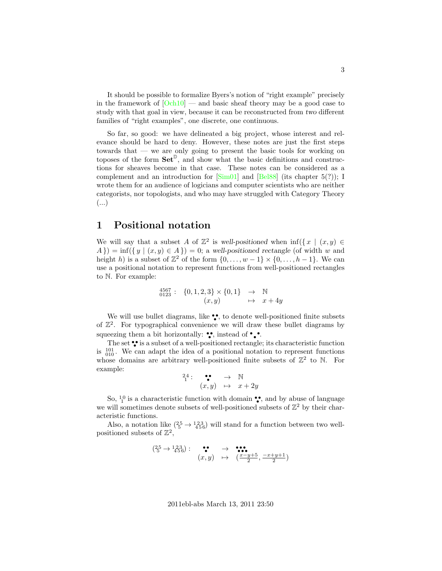It should be possible to formalize Byers's notion of "right example" precisely in the framework of  $[Och10]$  — and basic sheaf theory may be a good case to study with that goal in view, because it can be reconstructed from two different families of "right examples", one discrete, one continuous.

So far, so good: we have delineated a big project, whose interest and relevance should be hard to deny. However, these notes are just the first steps towards that — we are only going to present the basic tools for working on toposes of the form  $\mathbf{Set}^{\mathbb{D}}$ , and show what the basic definitions and constructions for sheaves become in that case. These notes can be considered as a complement and an introduction for  $[\text{Sim}01]$  and  $[\text{Bel}88]$  (its chapter 5(?)); I wrote them for an audience of logicians and computer scientists who are neither categorists, nor topologists, and who may have struggled with Category Theory (...)

### 1 Positional notation

We will say that a subset A of  $\mathbb{Z}^2$  is well-positioned when  $\inf(\{x \mid (x,y) \in$  $A\}) = \inf(\{y \mid (x, y) \in A\}) = 0$ ; a well-positioned rectangle (of width w and height h) is a subset of  $\mathbb{Z}^2$  of the form  $\{0, \ldots, w-1\} \times \{0, \ldots, h-1\}$ . We can use a positional notation to represent functions from well-positioned rectangles to N. For example:

$$
\begin{array}{cccc}\n^{4567}_{0123} : & \{0,1,2,3\} \times \{0,1\} & \to & \mathbb{N} \\
(x,y) & \mapsto & x+4y\n\end{array}
$$

We will use bullet diagrams, like  $\bullet\bullet$ , to denote well-positioned finite subsets of  $\mathbb{Z}^2$ . For typographical convenience we will draw these bullet diagrams by squeezing them a bit horizontally:  $\bullet\bullet$ , instead of  $\bullet\bullet\bullet$ .

The set  $\bullet\bullet$  is a subset of a well-positioned rectangle; its characteristic function is  $\frac{101}{010}$ . We can adapt the idea of a positional notation to represent functions whose domains are arbitrary well-positioned finite subsets of  $\mathbb{Z}^2$  to N. For example:

$$
\begin{array}{c} 24: \bullet \bullet \rightarrow \mathbb{N} \\ (x,y) \mapsto x+2y \end{array}
$$

So,  $\frac{10}{1}$  is a characteristic function with domain ••, and by abuse of language we will sometimes denote subsets of well-positioned subsets of  $\mathbb{Z}^2$  by their characteristic functions.

Also, a notation like  $\left(\frac{25}{5} \rightarrow \frac{123}{456}\right)$  will stand for a function between two wellpositioned subsets of  $\mathbb{Z}^2$ ,

$$
\begin{array}{ccccc}\n(25 \rightarrow 123) : & \bullet & \bullet & \bullet & \bullet & \bullet \\
(x, y) & \mapsto & \left(\frac{x-y+5}{2}, \frac{-x+y+1}{2}\right)\n\end{array}
$$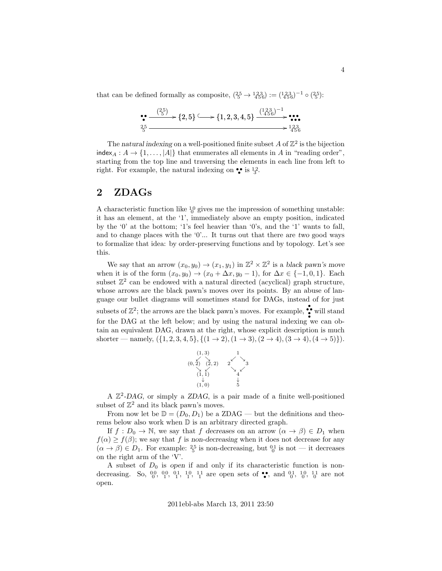that can be defined formally as composite,  $(\frac{25}{5} \rightarrow \frac{123}{456}) := (\frac{123}{456})^{-1} \circ (\frac{25}{5})$ :

$$
\begin{array}{l}\n \bullet \xrightarrow{\begin{array}{c}\n \left(25\right)} \\
 \bullet \xrightarrow{\phantom{a}\xrightarrow{\phantom{a}}}\n \end{array}}\n \left\{2,5\right\} \xrightarrow{\phantom{a}\xrightarrow{\phantom{a}\xrightarrow{\phantom{a}}}\n \left\{1,2,3,4,5\right\}}\n \xrightarrow{\begin{array}{c}\n \left(123\right)^{-1} \\
 \bullet \xrightarrow{\phantom{a}\xrightarrow{\phantom{a}\xrightarrow{\phantom{a}}}\n \end{array}}\n \bullet\n \bullet\n \bullet\n \bullet\n \bullet\n \bullet\n \bullet\n \bullet\n \end{array}
$$

The natural indexing on a well-positioned finite subset A of  $\mathbb{Z}^2$  is the bijection  $index_A : A \to \{1, ..., |A|\}$  that enumerates all elements in A in "reading order", starting from the top line and traversing the elements in each line from left to right. For example, the natural indexing on  $\bullet$  is  $\frac{1}{3}$ .

#### <span id="page-3-0"></span> $2\quad\rm ZDAGs$

A characteristic function like  ${}^{10}_{0}$  gives me the impression of something unstable: it has an element, at the '1', immediately above an empty position, indicated by the '0' at the bottom; '1's feel heavier than '0's, and the '1' wants to fall, and to change places with the  $\ddot{o}$ ... It turns out that there are two good ways to formalize that idea: by order-preserving functions and by topology. Let's see this.

We say that an arrow  $(x_0, y_0) \to (x_1, y_1)$  in  $\mathbb{Z}^2 \times \mathbb{Z}^2$  is a black pawn's move when it is of the form  $(x_0, y_0) \rightarrow (x_0 + \Delta x, y_0 - 1)$ , for  $\Delta x \in \{-1, 0, 1\}$ . Each subset  $\mathbb{Z}^2$  can be endowed with a natural directed (acyclical) graph structure, whose arrows are the black pawn's moves over its points. By an abuse of language our bullet diagrams will sometimes stand for DAGs, instead of for just subsets of  $\mathbb{Z}^2$ ; the arrows are the black pawn's moves. For example,  $\bullet\bullet$  will stand for the DAG at the left below; and by using the natural indexing we can obtain an equivalent DAG, drawn at the right, whose explicit description is much shorter — namely,  $({1, 2, 3, 4, 5}, { (1 \rightarrow 2), (1 \rightarrow 3), (2 \rightarrow 4), (3 \rightarrow 4), (4 \rightarrow 5) }$ .



A  $\mathbb{Z}^2$ -DAG, or simply a ZDAG, is a pair made of a finite well-positioned subset of  $\mathbb{Z}^2$  and its black pawn's moves.

From now let be  $\mathbb{D} = (D_0, D_1)$  be a ZDAG — but the definitions and theorems below also work when  $\mathbb D$  is an arbitrary directed graph.

If  $f: D_0 \to \mathbb{N}$ , we say that f decreases on an arrow  $(\alpha \to \beta) \in D_1$  when  $f(\alpha) \geq f(\beta)$ ; we say that f is non-decreasing when it does not decrease for any  $(\alpha \to \beta) \in D_1$ . For example:  $\frac{25}{5}$  is non-decreasing, but  $\frac{01}{0}$  is not — it decreases on the right arm of the 'V'.

A subset of  $D_0$  is open if and only if its characteristic function is nondecreasing. So,  $^{00}_{0}$ ,  $^{00}_{1}$ ,  $^{01}_{1}$ ,  $^{10}_{1}$ ,  $^{11}_{1}$  are open sets of  $\bullet$ , and  $^{01}_{0}$ ,  $^{10}_{0}$ ,  $^{11}_{0}$  are not open.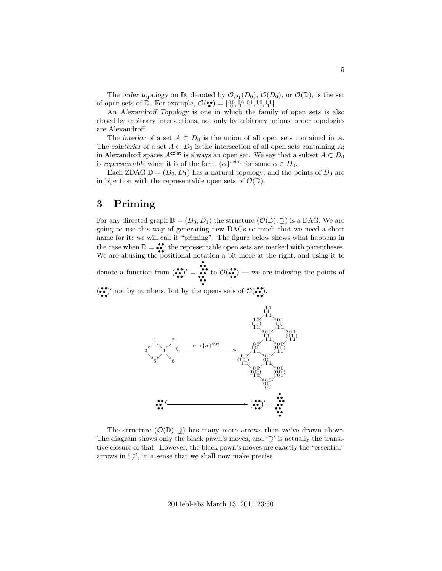The order topology on  $\mathbb{D}$ , denoted by  $\mathcal{O}_{D_1}(D_0)$ ,  $\mathcal{O}(D_0)$ , or  $\mathcal{O}(\mathbb{D})$ , is the set of open sets of  $D$ . For example,  $\mathcal{O}(\bullet) = \{0, 0, 0, 0, 1, 1, 1, 1, 1\}$ .

An Alexandroff Topology is one in which the family of open sets is also closed by arbitrary intersections, not only by arbitrary unions; order topologies are Alexandroff.

The interior of a set  $A \subset D_0$  is the union of all open sets contained in A. The cointerior of a set  $A \subset D_0$  is the intersection of all open sets containing A; in Alexandroff spaces  $A^{\text{coint}}$  is always an open set. We say that a subset  $A \subset D_0$ is representable when it is of the form  $\{\alpha\}^{\text{coint}}$  for some  $\alpha \in D_0$ .

Each ZDAG  $\mathbb{D} = (D_0, D_1)$  has a natural topology; and the points of  $D_0$  are in bijection with the representable open sets of  $\mathcal{O}(\mathbb{D})$ .

### <span id="page-4-0"></span>3 Priming

For any directed graph  $\mathbb{D} = (D_0, D_1)$  the structure  $(\mathcal{O}(\mathbb{D}), \supseteq)$  is a DAG. We are going to use this way of generating new DAGs so much that we need a short name for it: we will call it "priming". The figure below shows what happens in the case when  $\mathbb{D} = \bullet \bullet$ ; the representable open sets are marked with parentheses. We are abusing the positional notation a bit more at the right, and using it to

denote a function from  $\left(\bullet\bullet\right)' =$ • • • • • • • • • • • • to  $\mathcal{O}(\bullet \bullet)$  — we are indexing the points of

 $(\bullet\bullet)^\prime$  not by numbers, but by the opens sets of  $\mathcal{O}(\bullet\bullet)$ .



The structure  $(\mathcal{O}(\mathbb{D}), \supsetneq)$  has many more arrows than we've drawn above. The diagram shows only the black pawn's moves, and  $\mathcal{L}'$  is actually the transitive closure of that. However, the black pawn's moves are exactly the "essential" arrows in  $\mathcal{Q}'$ , in a sense that we shall now make precise.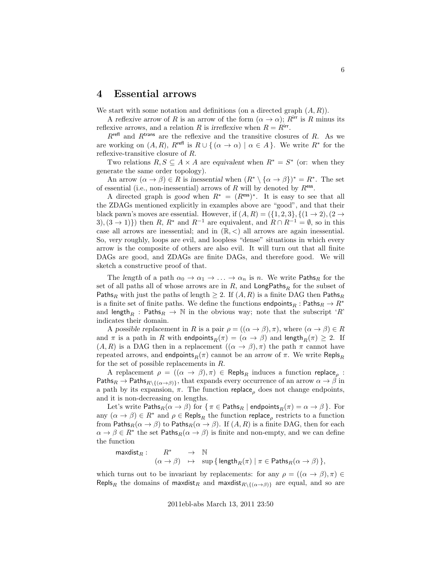#### 4 Essential arrows

We start with some notation and definitions (on a directed graph  $(A, R)$ ).

A reflexive arrow of R is an arrow of the form  $(\alpha \to \alpha)$ ; R<sup>irr</sup> is R minus its reflexive arrows, and a relation R is irreflexive when  $R = R^{irr}$ .

 $R^{\text{refl}}$  and  $R^{\text{trans}}$  are the reflexive and the transitive closures of R. As we are working on  $(A, R)$ ,  $R^{\text{refl}}$  is  $R \cup \{(\alpha \to \alpha) | \alpha \in A\}$ . We write  $R^*$  for the reflexive-transitive closure of R.

Two relations  $R, S \subseteq A \times A$  are equivalent when  $R^* = S^*$  (or: when they generate the same order topology).

An arrow  $(\alpha \to \beta) \in R$  is inessential when  $(R^* \setminus {\alpha \to \beta})^* = R^*$ . The set of essential (i.e., non-inessential) arrows of R will by denoted by  $R^{\text{ess}}$ .

A directed graph is good when  $R^* = (R^{\text{ess}})^*$ . It is easy to see that all the ZDAGs mentioned explicitly in examples above are "good", and that their black pawn's moves are essential. However, if  $(A, R) = (\{1, 2, 3\}, \{(1 \rightarrow 2), (2 \rightarrow$ 3),  $(3 \rightarrow 1)$ }) then R, R<sup>\*</sup> and R<sup>-1</sup> are equivalent, and  $R \cap R^{-1} = \emptyset$ , so in this case all arrows are inessential; and in  $(\mathbb{R}, \leq)$  all arrows are again inessential. So, very roughly, loops are evil, and loopless "dense" situations in which every arrow is the composite of others are also evil. It will turn out that all finite DAGs are good, and ZDAGs are finite DAGs, and therefore good. We will sketch a constructive proof of that.

The length of a path  $\alpha_0 \to \alpha_1 \to \ldots \to \alpha_n$  is n. We write Paths<sub>R</sub> for the set of all paths all of whose arrows are in  $R$ , and  $\textsf{LongPaths}_R$  for the subset of Paths<sub>R</sub> with just the paths of length  $\geq 2$ . If  $(A, R)$  is a finite DAG then Paths<sub>R</sub> is a finite set of finite paths. We define the functions endpoints<sub>R</sub> : Paths<sub>R</sub>  $\rightarrow$  R<sup>\*</sup> and length<sub>R</sub> : Paths<sub>R</sub>  $\rightarrow$  N in the obvious way; note that the subscript 'R' indicates their domain.

A possible replacement in R is a pair  $\rho = ((\alpha \to \beta), \pi)$ , where  $(\alpha \to \beta) \in R$ and  $\pi$  is a path in R with endpoints $_R(\pi) = (\alpha \to \beta)$  and length $_R(\pi) \geq 2$ . If  $(A, R)$  is a DAG then in a replacement  $((\alpha \rightarrow \beta), \pi)$  the path  $\pi$  cannot have repeated arrows, and endpoints $_R(\pi)$  cannot be an arrow of  $\pi$ . We write Repls<sub>R</sub> for the set of possible replacements in R.

A replacement  $\rho = ((\alpha \to \beta), \pi) \in \text{Repls}_R$  induces a function replace<sub> $\rho$ </sub>: Paths $_R \to$  Paths $_{R\setminus\{(\alpha\to\beta)\}}$ , that expands every occurrence of an arrow  $\alpha \to \beta$  in a path by its expansion,  $\pi$ . The function replace, does not change endpoints, and it is non-decreasing on lengths.

Let's write Paths $_R(\alpha \to \beta)$  for  $\{\pi \in \mathsf{Paths}_R \mid \mathsf{endpoints}_R(\pi) = \alpha \to \beta\}$ . For any  $(\alpha \to \beta) \in R^*$  and  $\rho \in \text{Repls}_R$  the function replace<sub>p</sub> restricts to a function from Paths $_R(\alpha \to \beta)$  to Paths $_R(\alpha \to \beta)$ . If  $(A, R)$  is a finite DAG, then for each  $\alpha \to \beta \in R^*$  the set Paths $_R(\alpha \to \beta)$  is finite and non-empty, and we can define the function

maxdist $_R: R^* \rightarrow \mathbb{N}$  $(\alpha \to \beta) \quad \mapsto \quad \sup \, \{ \, \textsf{length}_R(\pi) \mid \pi \in \textsf{Paths}_R(\alpha \to \beta) \, \},$ 

which turns out to be invariant by replacements: for any  $\rho = ((\alpha \to \beta), \pi) \in$ Repls<sub>R</sub> the domains of maxdist<sub>R</sub> and maxdist<sub>R\{( $\alpha \rightarrow \beta$ )}</sub> are equal, and so are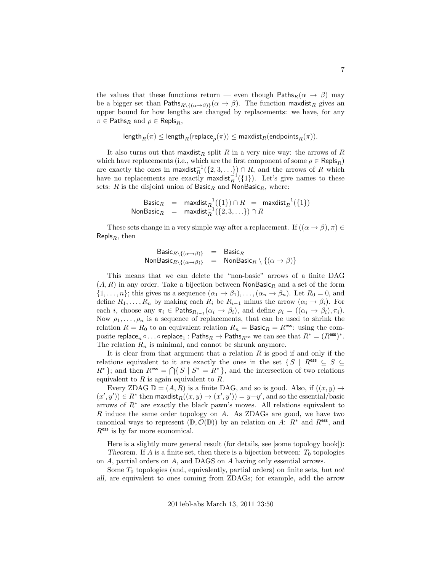the values that these functions return — even though Paths $_R(\alpha \rightarrow \beta)$  may be a bigger set than Paths $R\setminus\{(\alpha\to\beta)\}(\alpha\to\beta)$ . The function maxilist gives an upper bound for how lengths are changed by replacements: we have, for any  $\pi \in \mathsf{Paths}_R$  and  $\rho \in \mathsf{Repls}_R$ ,

```
\mathsf{length}_R(\pi) \leq \mathsf{length}_R(\mathsf{replace}_\rho(\pi)) \leq \mathsf{maxdist}_R(\mathsf{endpoints}_R(\pi)).
```
It also turns out that maxdist<sub>R</sub> split R in a very nice way: the arrows of R which have replacements (i.e., which are the first component of some  $\rho \in \mathsf{Repls}_R$ ) are exactly the ones in maxdist $^{-1}_{R}(\{2,3,\ldots\}) \cap R$ , and the arrows of R which have no replacements are exactly maxdist $_{R}^{-1}(\{1\})$ . Let's give names to these sets: R is the disjoint union of  $\textsf{Basic}_R$  and  $\textsf{NonBasic}_R$ , where:

$$
\begin{array}{rcl}\n\text{Basic}_R & = & \text{maxdist}_R^{-1}(\{1\}) \cap R & = & \text{maxdist}_R^{-1}(\{1\}) \\
\text{NonBasic}_R & = & \text{maxdist}_R^{-1}(\{2, 3, \ldots\}) \cap R\n\end{array}
$$

These sets change in a very simple way after a replacement. If  $((\alpha \to \beta), \pi) \in$ Repls<sub>R</sub>, then

$$
Basic_{R \setminus \{(\alpha \to \beta)\}} = Basic_{R}
$$
  
NonBasic<sub>R \setminus \{(\alpha \to \beta)\}} = NonBasic\_{R} \setminus \{(\alpha \to \beta)\}</sub>

This means that we can delete the "non-basic" arrows of a finite DAG  $(A, R)$  in any order. Take a bijection between NonBasic<sub>R</sub> and a set of the form  $\{1,\ldots,n\}$ ; this gives us a sequence  $(\alpha_1 \to \beta_1),\ldots,(\alpha_n \to \beta_n)$ . Let  $R_0 = 0$ , and define  $R_1, \ldots, R_n$  by making each  $R_i$  be  $R_{i-1}$  minus the arrow  $(\alpha_i \to \beta_i)$ . For each *i*, choose any  $\pi_i \in \mathsf{Paths}_{R_{i-1}}(\alpha_i \to \beta_i)$ , and define  $\rho_i = ((\alpha_i \to \beta_i), \pi_i)$ . Now  $\rho_1, \ldots, \rho_n$  is a sequence of replacements, that can be used to shrink the relation  $R = R_0$  to an equivalent relation  $R_n = \text{Basic}_R = R^{\text{ess}}$ : using the composite replace<sub>n</sub>  $\circ \dots \circ$  replace<sub>1</sub>: Paths $_R \to$  Paths $_{R^{\text{ess}}}$  we can see that  $R^* = (R^{\text{ess}})^*$ . The relation  $R_n$  is minimal, and cannot be shrunk anymore.

It is clear from that argument that a relation  $R$  is good if and only if the relations equivalent to it are exactly the ones in the set  $\{S \mid R^{\text{ess}} \subseteq S \subseteq S\}$  $R^*$ }; and then  $R^{\text{ess}} = \bigcap \{ S \mid S^* = R^* \}$ , and the intersection of two relations equivalent to  $R$  is again equivalent to  $R$ .

Every ZDAG  $\mathbb{D} = (A, R)$  is a finite DAG, and so is good. Also, if  $((x, y) \rightarrow$  $(x', y')) \in R^*$  then maxdist $_R((x, y) \to (x', y')) = y - y'$ , and so the essential/basic arrows of  $R^*$  are exactly the black pawn's moves. All relations equivalent to  $R$  induce the same order topology on  $A$ . As ZDAGs are good, we have two canonical ways to represent  $(\mathbb{D}, \mathcal{O}(\mathbb{D}))$  by an relation on A:  $R^*$  and  $R^{\text{ess}}$ , and  $R<sup>ess</sup>$  is by far more economical.

Here is a slightly more general result (for details, see [some topology book]): Theorem. If A is a finite set, then there is a bijection between:  $T_0$  topologies on A, partial orders on A, and DAGS on A having only essential arrows.

Some  $T_0$  topologies (and, equivalently, partial orders) on finite sets, but not all, are equivalent to ones coming from ZDAGs; for example, add the arrow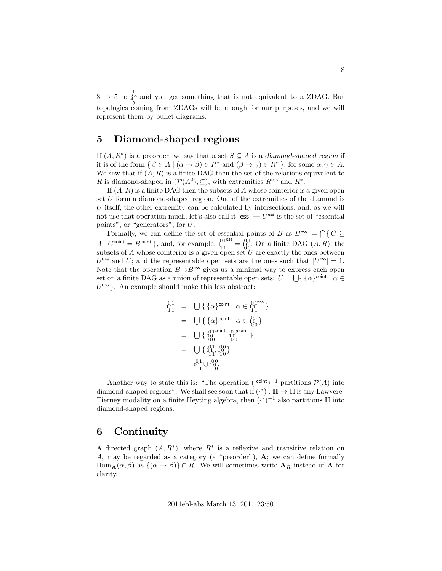$3 \rightarrow 5$  to  $\frac{1}{4}$ <sup>3</sup> and you get something that is not equivalent to a ZDAG. But topologies coming from ZDAGs will be enough for our purposes, and we will represent them by bullet diagrams.

#### 5 Diamond-shaped regions

**1** 

If  $(A, R^*)$  is a preorder, we say that a set  $S \subseteq A$  is a diamond-shaped region if it is of the form  $\{\beta \in A \mid (\alpha \to \beta) \in R^* \text{ and } (\beta \to \gamma) \in R^*\},\text{ for some } \alpha, \gamma \in A.$ We saw that if  $(A, R)$  is a finite DAG then the set of the relations equivalent to R is diamond-shaped in  $(\mathcal{P}(A^2), \subseteq)$ , with extremities  $R^{\text{ess}}$  and  $R^*$ .

If  $(A, R)$  is a finite DAG then the subsets of A whose cointerior is a given open set U form a diamond-shaped region. One of the extremities of the diamond is U itself; the other extremity can be calculated by intersections, and, as we will not use that operation much, let's also call it 'ess'  $-U^{\text{ess}}$  is the set of "essential" points", or "generators", for U.

Formally, we can define the set of essential points of B as  $B^{\text{ess}} := \bigcap \{ C \subseteq$  $A \mid C^{\text{coint}} = B^{\text{coint}} \}$ , and, for example,  $1_1^{0.1^{\circ}}$  $e^{ess} = 10^{11}_{00}$ . On a finite DAG  $(A, R)$ , the subsets of A whose cointerior is a given open set  $\tilde{U}$  are exactly the ones between  $U^{\text{ess}}$  and  $U$ ; and the representable open sets are the ones such that  $|U^{\text{ess}}| = 1$ . Note that the operation  $B \rightarrow B^{\text{ess}}$  gives us a minimal way to express each open set on a finite DAG as a union of representable open sets:  $U = \bigcup \{ \{\alpha\}^{\text{coint}} \mid \alpha \in$  $U<sup>ess</sup>$ . An example should make this less abstract:

$$
0_1^1 = \bigcup \{ \{\alpha\}^{\text{coint}} \mid \alpha \in 1_1^{01^{\text{ess}}}\}\
$$
  
= 
$$
\bigcup \{ \{\alpha\}^{\text{coint}} \mid \alpha \in 1_1^{01}\}\
$$
  
= 
$$
\bigcup \{0_0^{1^{\text{coint}}} , 0_0^{\text{coint}}\}
$$
  
= 
$$
\bigcup \{0_1^{01^{\text{coint}}} , 0_0^{\text{coint}}\}
$$
  
= 
$$
\bigcup \{0_1^{11} , 1_0^{01}\}
$$
  
= 
$$
0_1^{11} \cup 1_0^{00}.
$$

Another way to state this is: "The operation  $({}^{\text{coint}})^{-1}$  partitions  $\mathcal{P}(A)$  into diamond-shaped regions". We shall see soon that if  $(\cdot^*) : \mathbb{H} \to \mathbb{H}$  is any Lawvere-Tierney modality on a finite Heyting algebra, then  $({}^{*})^{-1}$  also partitions  $\mathbb H$  into diamond-shaped regions.

#### 6 Continuity

A directed graph  $(A, R^*)$ , where  $R^*$  is a reflexive and transitive relation on A, may be regarded as a category (a "preorder"),  $\bf{A}$ ; we can define formally  $\text{Hom}_{\mathbf{A}}(\alpha, \beta)$  as  $\{(\alpha \to \beta)\}\cap R$ . We will sometimes write  $\mathbf{A}_R$  instead of **A** for clarity.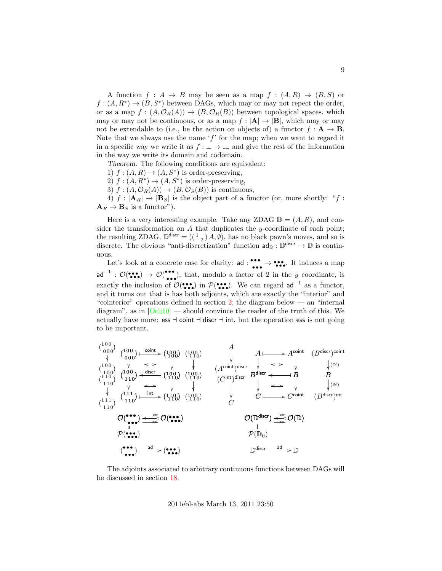A function  $f : A \to B$  may be seen as a map  $f : (A, R) \to (B, S)$  or  $f:(A, R^*)\to (B, S^*)$  between DAGs, which may or may not repect the order, or as a map  $f : (A, \mathcal{O}_R(A)) \to (B, \mathcal{O}_R(B))$  between topological spaces, which may or may not be continuous, or as a map  $f : |\mathbf{A}| \to |\mathbf{B}|$ , which may or may not be extendable to (i.e., be the action on objects of) a functor  $f : \mathbf{A} \to \mathbf{B}$ . Note that we always use the name  $f'$  for the map; when we want to regard it in a specific way we write it as  $f : \underline{\ } \rightarrow \underline{\ }$ , and give the rest of the information in the way we write its domain and codomain.

Theorem. The following conditions are equivalent:

- 1)  $f:(A, R) \rightarrow (A, S^*)$  is order-preserving,
- 2)  $f: (A, R^*) \to (A, S^*)$  is order-preserving,
- 3)  $f: (A, \mathcal{O}_R(A)) \to (B, \mathcal{O}_S(B))$  is continuous,

4)  $f : |\mathbf{A}_R| \to |\mathbf{B}_S|$  is the object part of a functor (or, more shortly: "f:  $\mathbf{A}_R \rightarrow \mathbf{B}_S$  is a functor").

Here is a very interesting example. Take any ZDAG  $\mathbb{D} = (A, R)$ , and consider the transformation on  $A$  that duplicates the y-coordinate of each point; the resulting ZDAG,  $\mathbb{D}^{\text{discr}} = ((\begin{smallmatrix} 1 & 0 \end{smallmatrix}) A, \emptyset)$ , has no black pawn's moves, and so is discrete. The obvious "anti-discretization" function  $ad_{\mathbb{D}} : \mathbb{D}^{discr} \to \mathbb{D}$  is continuous.

Let's look at a concrete case for clarity: ad:  $\bullet \bullet \bullet \bullet \bullet$  It induces a map  $\mathsf{ad}^{-1}:\mathcal{O}(\bullet\bullet\bullet)\rightarrow\mathcal{O}(\bullet\bullet\bullet\bullet)$  $\bullet\bullet\bullet$ , that, modulo a factor of 2 in the y coordinate, is exactly the inclusion of  $\mathcal{O}(\bullet \bullet \bullet)$  in  $\mathcal{P}(\bullet \bullet \bullet)$ . We can regard ad<sup>-1</sup> as a functor, and it turns out that is has both adjoints, which are exactly the "interior" and "cointerior" operations defined in section [2;](#page-3-0) the diagram below — an "internal diagram", as in  $[Och10]$  — should convince the reader of the truth of this. We actually have more: ess  $\vdash$  coint  $\vdash$  discr  $\vdash$  int, but the operation ess is not going to be important.

$$
\begin{array}{ccccccccc}\n\binom{100}{000} & & & & & & & & & & \\
\downarrow & & & & & & & & & & \\
\downarrow & & & & & & & & & & \\
\downarrow & & & & & & & & & & \\
\uparrow & & & & & & & & & & \\
\uparrow & & & & & & & & & & \\
\uparrow & & & & & & & & & & \\
\uparrow & & & & & & & & & & \\
\uparrow & & & & & & & & & & \\
\uparrow & & & & & & & & & & \\
\uparrow & & & & & & & & & & \\
\uparrow & & & & & & & & & & \\
\uparrow & & & & & & & & & & \\
\uparrow & & & & & & & & & & \\
\uparrow & & & & & & & & & & \\
\uparrow & & & & & & & & & & \\
\uparrow & & & & & & & & & & \\
\uparrow & & & & & & & & & & \\
\uparrow & & & & & & & & & & \\
\uparrow & & & & & & & & & & \\
\downarrow & & & & & & & & & & \\
\downarrow & & & & & & & &
$$

The adjoints associated to arbitrary continuous functions between DAGs will be discussed in section [18.](#page-21-2)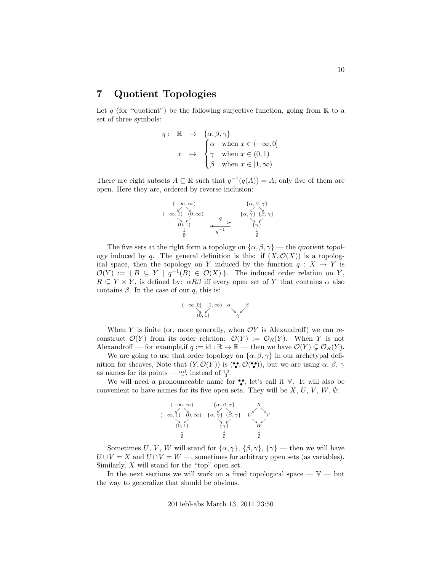#### <span id="page-9-0"></span>7 Quotient Topologies

Let q (for "quotient") be the following surjective function, going from  $\mathbb R$  to a set of three symbols:

$$
q: \mathbb{R} \to \{\alpha, \beta, \gamma\}
$$
  

$$
x \mapsto \begin{cases} \alpha & \text{when } x \in (-\infty, 0] \\ \gamma & \text{when } x \in (0, 1) \\ \beta & \text{when } x \in [1, \infty) \end{cases}
$$

There are eight subsets  $A \subseteq \mathbb{R}$  such that  $q^{-1}(q(A)) = A$ ; only five of them are open. Here they are, ordered by reverse inclusion:

$$
(-\infty, \infty) \qquad \{ \alpha, \beta, \gamma \}
$$
  
\n
$$
(-\infty, 1) \qquad (0, \infty)
$$
  
\n
$$
(0, 1) \qquad \qquad \overline{q} \qquad \qquad \{ \alpha, \gamma \} \qquad \{ \beta, \gamma \}
$$
  
\n
$$
\downarrow \qquad \qquad \overline{q} \qquad \qquad \uparrow \gamma
$$

The five sets at the right form a topology on  $\{\alpha, \beta, \gamma\}$  — the quotient topology induced by q. The general definition is this: if  $(X, \mathcal{O}(X))$  is a topological space, then the topology on Y induced by the function  $q: X \to Y$  is  $\mathcal{O}(Y) := \{ B \subseteq Y \mid q^{-1}(B) \in \mathcal{O}(X) \}.$  The induced order relation on Y,  $R \subseteq Y \times Y$ , is defined by:  $\alpha R\beta$  iff every open set of Y that contains  $\alpha$  also contains  $\beta$ . In the case of our q, this is:

$$
(-\infty, 0] \xrightarrow[0, 1]{} [1, \infty) \quad \alpha \qquad \beta
$$
  

$$
(0, 1) \qquad \gamma \qquad \gamma
$$

When Y is finite (or, more generally, when  $\mathcal{O}Y$  is Alexandroff) we can reconstruct  $\mathcal{O}(Y)$  from its order relation:  $\mathcal{O}(Y) := \mathcal{O}_R(Y)$ . When Y is not Alexandroff — for example, if  $q := id : \mathbb{R} \to \mathbb{R}$  — then we have  $\mathcal{O}(Y) \subsetneq \mathcal{O}_R(Y)$ .

We are going to use that order topology on  $\{\alpha, \beta, \gamma\}$  in our archetypal definition for sheaves, Note that  $(Y, \mathcal{O}(Y))$  is  $(\bullet, \mathcal{O}(\bullet))$ , but we are using  $\alpha$ ,  $\beta$ ,  $\gamma$ as names for its points —  $\alpha_{\gamma}^{\beta}$ , instead of  $\frac{12}{3}$ .

We will need a pronounceable name for  $\bullet$ ; let's call it  $V$ . It will also be convenient to have names for its five open sets. They will be  $X, U, V, W, \emptyset$ :



Sometimes U, V, W will stand for  $\{\alpha, \gamma\}, \{\beta, \gamma\}, \{\gamma\}$  — then we will have  $U \cup V = X$  and  $U \cap V = W$ , sometimes for arbitrary open sets (as variables). Similarly,  $X$  will stand for the "top" open set.

In the next sections we will work on a fixed topological space  $-\mathbb{V}$  — but the way to generalize that should be obvious.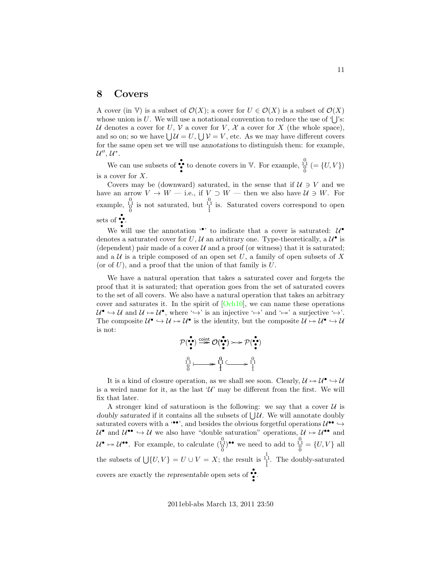#### 8 Covers

A cover (in V) is a subset of  $\mathcal{O}(X)$ ; a cover for  $U \in \mathcal{O}(X)$  is a subset of  $\mathcal{O}(X)$ whose union is U. We will use a notational convention to reduce the use of  $\mathcal{U}$ 's: U denotes a cover for U, V a cover for V, X a cover for X (the whole space), and so on; so we have  $\bigcup \mathcal{U} = U$ ,  $\bigcup \mathcal{V} = V$ , etc. As we may have different covers for the same open set we will use annotations to distinguish them: for example,  $\mathcal{U}'', \mathcal{U}^*.$ 

We can use subsets of  $\bullet\bullet$  to denote covers in V. For example,  $\frac{0}{0}^{0}$  (= {U, V}) is a cover for X.

Covers may be (downward) saturated, in the sense that if  $U \ni V$  and we have an arrow  $V \to W$  — i.e., if  $V \supset W$  — then we also have  $\mathcal{U} \ni W$ . For example,  $\begin{bmatrix} 0 \\ 1 \\ 0 \end{bmatrix}$  is not saturated, but  $\begin{bmatrix} 0 \\ 1 \\ 1 \end{bmatrix}$  is. Saturated covers correspond to open sets of  $\ddot{\bullet}$ .

We will use the annotation  $\cdot \cdot$  to indicate that a cover is saturated:  $\mathcal{U}^{\bullet}$ denotes a saturated cover for U, U an arbitrary one. Type-theoretically, a  $\mathcal{U}^{\bullet}$  is (dependent) pair made of a cover  $\mathcal U$  and a proof (or witness) that it is saturated; and a  $U$  is a triple composed of an open set U, a family of open subsets of X (or of  $U$ ), and a proof that the union of that family is  $U$ .

We have a natural operation that takes a saturated cover and forgets the proof that it is saturated; that operation goes from the set of saturated covers to the set of all covers. We also have a natural operation that takes an arbitrary cover and saturates it. In the spirit of  $[Och10]$ , we can name these operations  $\mathcal{U}^{\bullet} \hookrightarrow \mathcal{U}$  and  $\mathcal{U} \mapsto \mathcal{U}^{\bullet}$ , where  $\hookrightarrow$  is an injective  $\hookrightarrow$  and  $\hookrightarrow$  a surjective  $\hookrightarrow$ . The composite  $\mathcal{U}^{\bullet} \hookrightarrow \mathcal{U} \mapsto \mathcal{U}^{\bullet}$  is the identity, but the composite  $\mathcal{U} \mapsto \mathcal{U}^{\bullet} \hookrightarrow \mathcal{U}$ is not:

$$
\mathcal{P}(\overset{\bullet}{\bullet}) \overset{\text{coint}}{\Rightarrow} \mathcal{O}(\overset{\bullet}{\bullet}) \rightarrowtail \mathcal{P}(\overset{\bullet}{\bullet})
$$
\n
$$
\downarrow^{0}_{\uparrow} \downarrow \longrightarrow \overset{\circ}{\downarrow}^{1} \downarrow \longrightarrow \overset{\circ}{\downarrow}^{1}_{\downarrow}
$$

It is a kind of closure operation, as we shall see soon. Clearly,  $\mathcal{U} \mapsto \mathcal{U}^{\bullet} \hookrightarrow \mathcal{U}$ is a weird name for it, as the last  $\mathcal{U}'$  may be different from the first. We will fix that later.

A stronger kind of saturatioon is the following: we say that a cover  $\mathcal U$  is doubly saturated if it contains all the subsets of  $\bigcup \mathcal{U}$ . We will annotate doubly saturated covers with a  $\cdot\cdot\cdot$ , and besides the obvious forgetful operations  $\mathcal{U}^{\bullet\bullet} \hookrightarrow$  $U^{\bullet}$  and  $U^{\bullet\bullet} \hookrightarrow U$  we also have "double saturation" operations,  $U \mapsto U^{\bullet\bullet}$  and  $\mathcal{U}^{\bullet} \mapsto \mathcal{U}^{\bullet \bullet}$ . For example, to calculate  $\begin{pmatrix} 0 \\ 1 \end{pmatrix}^{\bullet \bullet}$  we need to add to  $\begin{pmatrix} 0 \\ 0 \end{pmatrix} = \{U, V\}$  all the subsets of  $\bigcup \{U, V\} = U \cup V = X$ ; the result is  $\frac{1}{1}$ <sup>1</sup>. The doubly-saturated covers are exactly the representable open sets of  $\ddot{\bullet}$ .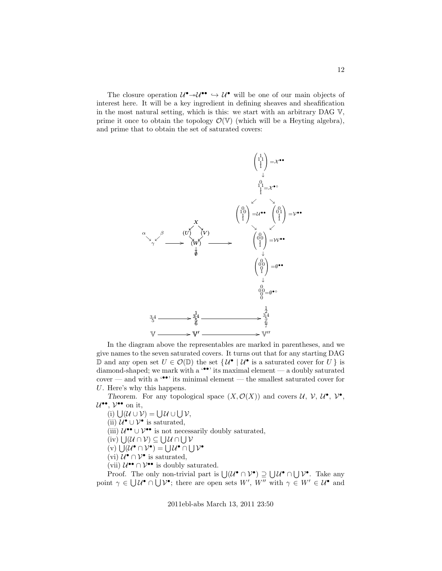The closure operation  $\mathcal{U}^{\bullet} \rightarrow \mathcal{U}^{\bullet}$  will be one of our main objects of interest here. It will be a key ingredient in defining sheaves and sheafification in the most natural setting, which is this: we start with an arbitrary DAG V, prime it once to obtain the topology  $\mathcal{O}(\mathbb{V})$  (which will be a Heyting algebra), and prime that to obtain the set of saturated covers:



In the diagram above the representables are marked in parentheses, and we give names to the seven saturated covers. It turns out that for any starting DAG D and any open set  $U \in \mathcal{O}(\mathbb{D})$  the set  $\{U^{\bullet} | U^{\bullet} \text{ is a saturated cover for } U \}$  is diamond-shaped; we mark with a  $\cdot\cdot\cdot$  its maximal element — a doubly saturated cover — and with a  $\cdot \bullet \cdot$  its minimal element — the smallest saturated cover for U. Here's why this happens.

Theorem. For any topological space  $(X, \mathcal{O}(X))$  and covers  $\mathcal{U}, \mathcal{V}, \mathcal{U}^{\bullet}, \mathcal{V}^{\bullet}$ ,  $\mathcal{U}^{\bullet\bullet}, \mathcal{V}^{\bullet\bullet}$  on it,

(i)  $\bigcup (\mathcal{U} \cup \mathcal{V}) = \bigcup \mathcal{U} \cup \bigcup \mathcal{V},$ 

(ii)  $\mathcal{U}^{\bullet} \cup \mathcal{V}^{\bullet}$  is saturated,

(iii)  $\mathcal{U}^{\bullet\bullet} \cup \mathcal{V}^{\bullet\bullet}$  is not necessarily doubly saturated,

 $(iv) \bigcup (\mathcal{U} \cap \mathcal{V}) \subseteq \bigcup \mathcal{U} \cap \bigcup \mathcal{V}$ 

 $(v) \bigcup (\mathcal{U}^{\bullet} \cap \mathcal{V}^{\bullet}) = \bigcup \mathcal{U}^{\bullet} \cap \bigcup \mathcal{V}^{\bullet}$ 

(vi)  $\mathcal{U}^{\bullet} \cap \mathcal{V}^{\bullet}$  is saturated,

(vii)  $\mathcal{U}^{\bullet\bullet} \cap \mathcal{V}^{\bullet\bullet}$  is doubly saturated.

Proof. The only non-trivial part is  $\bigcup (\mathcal{U}^{\bullet} \cap \mathcal{V}^{\bullet}) \supseteq \bigcup \mathcal{U}^{\bullet} \cap \bigcup \mathcal{V}^{\bullet}$ . Take any point  $\gamma \in \bigcup \mathcal{U}^{\bullet} \cap \bigcup \mathcal{V}^{\bullet}$ ; there are open sets  $W'$ ,  $W''$  with  $\gamma \in W' \in \mathcal{U}^{\bullet}$  and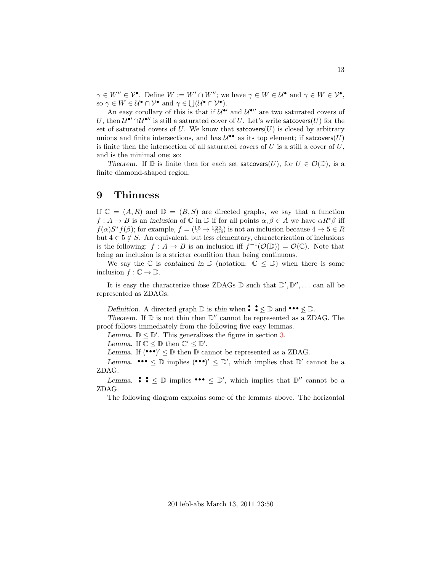$\gamma \in W'' \in \mathcal{V}^\bullet$ . Define  $W := W' \cap W''$ ; we have  $\gamma \in W \in \mathcal{U}^\bullet$  and  $\gamma \in W \in \mathcal{V}^\bullet$ , so  $\gamma \in W \in \mathcal{U}^{\bullet} \cap \mathcal{V}^{\bullet}$  and  $\gamma \in \bigcup (\mathcal{U}^{\bullet} \cap \mathcal{V}^{\bullet}).$ 

An easy corollary of this is that if  $\mathcal{U}^{\bullet}{}'$  and  $\mathcal{U}^{\bullet}{}''$  are two saturated covers of U, then  $\mathcal{U}^{\bullet} \cap \mathcal{U}^{\bullet}$  is still a saturated cover of U. Let's write satcovers(U) for the set of saturated covers of U. We know that satcovers $(U)$  is closed by arbitrary unions and finite intersections, and has  $\mathcal{U}^{\bullet\bullet}$  as its top element; if satcovers $(U)$ is finite then the intersection of all saturated covers of  $U$  is a still a cover of  $U$ , and is the minimal one; so:

Theorem. If  $\mathbb D$  is finite then for each set satcovers(U), for  $U \in \mathcal O(\mathbb D)$ , is a finite diamond-shaped region.

#### 9 Thinness

If  $\mathbb{C} = (A, R)$  and  $\mathbb{D} = (B, S)$  are directed graphs, we say that a function  $f: A \to B$  is an inclusion of  $\mathbb C$  in  $\mathbb D$  if for all points  $\alpha, \beta \in A$  we have  $\alpha R^* \beta$  iff  $f(\alpha)S^*f(\beta)$ ; for example,  $f = \begin{pmatrix} 15 \\ 4 \end{pmatrix}$  +  $\begin{pmatrix} 123 \\ 456 \end{pmatrix}$  is not an inclusion because  $4 \rightarrow 5 \in R$ but  $4 \in 5 \notin S$ . An equivalent, but less elementary, characterization of inclusions is the following:  $f : A \to B$  is an inclusion iff  $f^{-1}(\mathcal{O}(\mathbb{D})) = \mathcal{O}(\mathbb{C})$ . Note that being an inclusion is a stricter condition than being continuous.

We say the  $\mathbb C$  is contained in  $\mathbb D$  (notation:  $\mathbb C \leq \mathbb D$ ) when there is some inclusion  $f: \mathbb{C} \to \mathbb{D}$ .

It is easy the characterize those ZDAGs  $\mathbb D$  such that  $\mathbb D', \mathbb D'', \dots$  can all be represented as ZDAGs.

Definition. A directed graph  $\mathbb D$  is thin when  $\mathbf{\hat{\cdot}} \leq \mathbb D$  and  $\mathbf{\hat{\cdot\cdot}} \leq \mathbb D$ .

Theorem. If  $\mathbb D$  is not thin then  $\mathbb D''$  cannot be represented as a ZDAG. The proof follows immediately from the following five easy lemmas.

Lemma.  $\mathbb{D} \leq \mathbb{D}'$ . This generalizes the figure in section [3.](#page-4-0)

Lemma. If  $\mathbb{C} \leq \mathbb{D}$  then  $\mathbb{C}' \leq \mathbb{D}'$ .

Lemma. If  $(\bullet \bullet \bullet)' \leq \mathbb{D}$  then  $\mathbb{D}$  cannot be represented as a ZDAG.

Lemma.  $\bullet \bullet \bullet \leq D$  implies  $(\bullet \bullet \bullet)' \leq D'$ , which implies that  $D'$  cannot be a ZDAG.

Lemma.  $\bullet \bullet \bullet \leq \mathbb{D}$  implies  $\bullet \bullet \bullet \leq \mathbb{D}'$ , which implies that  $\mathbb{D}''$  cannot be a ZDAG.

The following diagram explains some of the lemmas above. The horizontal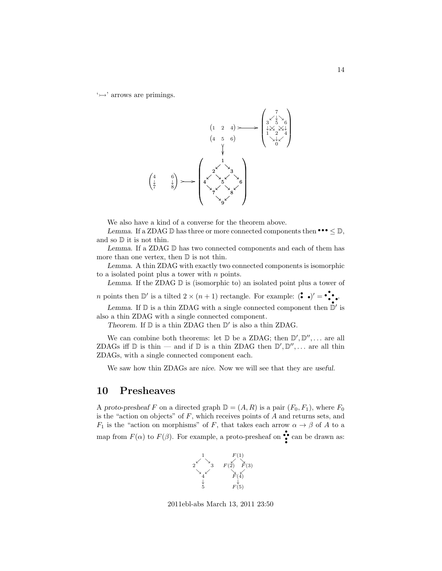$\leftrightarrow$  arrows are primings.



We also have a kind of a converse for the theorem above.

Lemma. If a ZDAG  $\mathbb D$  has three or more connected components then  $\cdot \cdot \cdot \leq \mathbb D$ , and so D it is not thin.

Lemma. If a ZDAG D has two connected components and each of them has more than one vertex, then  $D$  is not thin.

Lemma. A thin ZDAG with exactly two connected components is isomorphic to a isolated point plus a tower with  $n$  points.

Lemma. If the ZDAG  $\mathbb D$  is (isomorphic to) an isolated point plus a tower of

*n* points then  $\mathbb{D}'$  is a tilted  $2 \times (n+1)$  rectangle. For example:  $(\bullet \bullet)' = \bullet \bullet \bullet$ .

Lemma. If  $\mathbb D$  is a thin ZDAG with a single connected component then  $\mathbb D'$  is also a thin ZDAG with a single connected component.

Theorem. If  $\mathbb D$  is a thin ZDAG then  $\mathbb D'$  is also a thin ZDAG.

We can combine both theorems: let  $\mathbb D$  be a ZDAG; then  $\mathbb D', \mathbb D'', \dots$  are all ZDAGs iff  $\mathbb D$  is thin — and if  $\mathbb D$  is a thin ZDAG then  $\mathbb D', \mathbb D'', \dots$  are all thin ZDAGs, with a single connected component each.

We saw how thin ZDAGs are nice. Now we will see that they are useful.

#### 10 Presheaves

A proto-presheaf F on a directed graph  $\mathbb{D} = (A, R)$  is a pair  $(F_0, F_1)$ , where  $F_0$ is the "action on objects" of  $F$ , which receives points of  $A$  and returns sets, and  $F_1$  is the "action on morphisms" of F, that takes each arrow  $\alpha \to \beta$  of A to a map from  $F(\alpha)$  to  $F(\beta)$ . For example, a proto-presheaf on  $\bullet$  can be drawn as:



2011ebl-abs March 13, 2011 23:50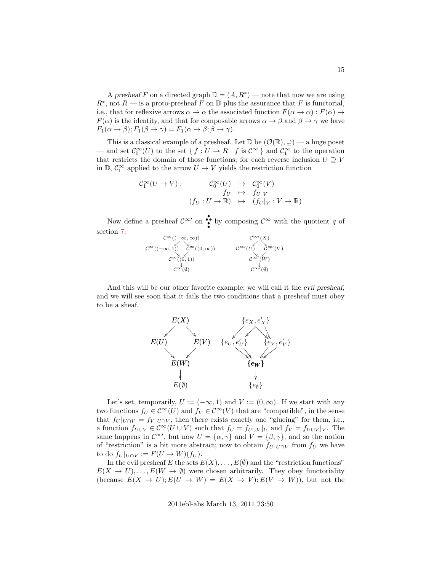A presheaf F on a directed graph  $\mathbb{D} = (A, R^*)$  — note that now we are using  $R^*$ , not  $R$  — is a proto-presheaf F on D plus the assurance that F is functorial, i.e., that for reflexive arrows  $\alpha \to \alpha$  the associated function  $F(\alpha \to \alpha) : F(\alpha) \to$  $F(\alpha)$  is the identity, and that for composable arrows  $\alpha \to \beta$  and  $\beta \to \gamma$  we have  $F_1(\alpha \to \beta); F_1(\beta \to \gamma) = F_1(\alpha \to \beta; \beta \to \gamma).$ 

This is a classical example of a presheaf. Let  $\mathbb{D}$  be  $(\mathcal{O}(\mathbb{R}), \supseteq)$  — a huge poset — and set  $\mathcal{C}_0^{\infty}(U)$  to the set  $\{f: U \to R \mid f \text{ is } C^{\infty}\}\$  and  $\mathcal{C}_1^{\infty}$  to the operation that restricts the domain of those functions; for each reverse inclusion  $U ">= V$ in  $\mathbb{D},\,\mathcal{C}^\infty_1$  applied to the arrow  $U\to V$  yields the restriction function

$$
\mathcal{C}^{\infty}_1(U \to V) : \qquad \begin{array}{ccc} \mathcal{C}^{\infty}_0(U) & \to & \mathcal{C}^{\infty}_0(V) \\ f_U & \mapsto & f_U|_V \\ (f_U: U \to \mathbb{R}) & \mapsto & (f_U|_V: V \to \mathbb{R}) \end{array}
$$

Now define a presheaf  $\mathcal{C}^{\infty}$  on  $\bullet$  by composing  $\mathcal{C}^{\infty}$  with the quotient q of section [7:](#page-9-0)



And this will be our other favorite example; we will call it the evil presheaf, and we will see soon that it fails the two conditions that a presheaf must obey to be a sheaf.



Let's set, temporarily,  $U := (-\infty, 1)$  and  $V := (0, \infty)$ . If we start with any two functions  $f_U \in C^{\infty}(U)$  and  $f_V \in C^{\infty}(V)$  that are "compatible", in the sense that  $f_U|_{U\cap V} = f_V|_{U\cap V}$ , then there exists exactly one "glueing" for them, i.e., a function  $f_{U\cup V} \in \mathcal{C}^{\infty}(U \cup V)$  such that  $f_U = f_{U\cup V}|_U$  and  $f_V = f_{U\cup V}|_V$ . The same happens in  $\mathcal{C}^{\infty}$ , but now  $U = {\alpha, \gamma}$  and  $V = {\beta, \gamma}$ , and so the notion of "restriction" is a bit more abstract; now to obtain  $f_U|_{U\cap V}$  from  $f_U$  we have to do  $f_U|_{U\cap V} := F(U \to W)(f_U)$ .

In the evil presheaf E the sets  $E(X), \ldots, E(\emptyset)$  and the "restriction functions"  $E(X \to U), \ldots, E(W \to \emptyset)$  were chosen arbitrarily. They obey functoriality (because  $E(X \to U); E(U \to W) = E(X \to V); E(V \to W)$ ), but not the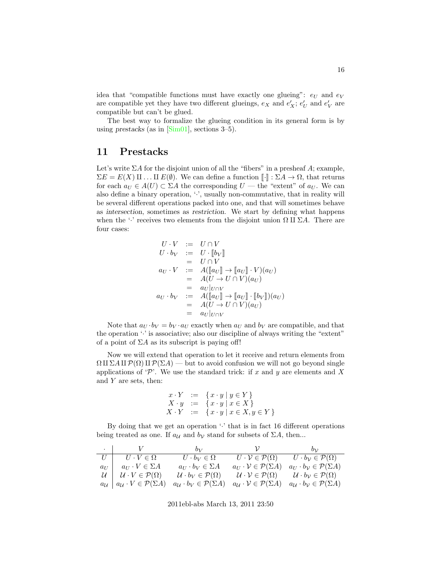idea that "compatible functions must have exactly one glueing":  $e_U$  and  $e_V$ are compatible yet they have two different glueings,  $e_X$  and  $e'_X$ ;  $e'_U$  and  $e'_V$  are compatible but can't be glued.

The best way to formalize the glueing condition in its general form is by using prestacks (as in  $[\text{Sim}01]$ , sections 3–5).

### <span id="page-15-0"></span>11 Prestacks

Let's write  $\Sigma A$  for the disjoint union of all the "fibers" in a presheaf  $A$ ; example,  $\Sigma E = E(X) \amalg ... \amalg E(\emptyset)$ . We can define a function  $\llbracket \cdot \rrbracket : \Sigma A \to \Omega$ , that returns for each  $a_U \in A(U) \subset \Sigma A$  the corresponding  $U$  — the "extent" of  $a_U$ . We can also define a binary operation,  $\langle \cdot \rangle$ , usually non-commutative, that in reality will be several different operations packed into one, and that will sometimes behave as intersection, sometimes as restriction. We start by defining what happens when the '·' receives two elements from the disjoint union  $\Omega$  II  $\Sigma A$ . There are four cases:

$$
U \cdot V := U \cap V
$$
  
\n
$$
U \cdot b_V := U \cdot [b_V]
$$
  
\n
$$
= U \cap V
$$
  
\n
$$
a_U \cdot V := A([a_U] \rightarrow [a_U] \cdot V)(a_U)
$$
  
\n
$$
= A(U \rightarrow U \cap V)(a_U)
$$
  
\n
$$
= a_U|_{U \cap V}
$$
  
\n
$$
a_U \cdot b_V := A([a_U] \rightarrow [a_U] \cdot [b_V])(a_U)
$$
  
\n
$$
= A(U \rightarrow U \cap V)(a_U)
$$
  
\n
$$
= a_U|_{U \cap V}
$$

Note that  $a_U \cdot b_V = b_V \cdot a_U$  exactly when  $a_U$  and  $b_V$  are compatible, and that the operation  $\cdot$  is associative; also our discipline of always writing the "extent" of a point of  $\Sigma A$  as its subscript is paying off!

Now we will extend that operation to let it receive and return elements from  $\Omega \amalg \Sigma A \amalg \mathcal{P}(\Omega) \amalg \mathcal{P}(\Sigma A)$  — but to avoid confusion we will not go beyond single applications of 'P'. We use the standard trick: if x and y are elements and X and  $Y$  are sets, then:

$$
\begin{array}{rcl}\nx \cdot Y & := & \{x \cdot y \mid y \in Y\} \\
X \cdot y & := & \{x \cdot y \mid x \in X\} \\
X \cdot Y & := & \{x \cdot y \mid x \in X, y \in Y\}\n\end{array}
$$

By doing that we get an operation  $\cdot$  that is in fact 16 different operations being treated as one. If  $a_{\mathcal{U}}$  and  $b_{\mathcal{V}}$  stand for subsets of  $\Sigma A$ , then...

| and the state of the state | V                                                                        | $b_V$                                                   | $\mathcal{V}$                                             | $b_{\mathcal{V}}$                                                 |
|----------------------------|--------------------------------------------------------------------------|---------------------------------------------------------|-----------------------------------------------------------|-------------------------------------------------------------------|
|                            | $U \cdot V \in \Omega$                                                   | $U \cdot b_V \in \Omega$                                | $U\cdot \mathcal{V}\in \mathcal{P}(\Omega)$               | $U \cdot b_{\mathcal{V}} \in \mathcal{P}(\Omega)$                 |
| $a_U$                      | $a_{IJ} \cdot V \in \Sigma A$                                            | $a_U \cdot b_V \in \Sigma A$                            | $a_U \cdot \mathcal{V} \in \mathcal{P}(\Sigma A)$         | $a_U \cdot b_V \in \mathcal{P}(\Sigma A)$                         |
| $U \perp$                  | $\mathcal{U}\cdot V\in\mathcal{P}(\Omega)$                               | $\mathcal{U} \cdot b_V \in \mathcal{P}(\Omega)$         | $\mathcal{U}\cdot\mathcal{V}\in\mathcal{P}(\Omega)$       | $\mathcal{U} \cdot b_{\mathcal{V}} \in \mathcal{P}(\Omega)$       |
|                            | $a_{\mathcal{U}} \mid a_{\mathcal{U}} \cdot V \in \mathcal{P}(\Sigma A)$ | $a_{\mathcal{U}} \cdot b_{V} \in \mathcal{P}(\Sigma A)$ | $a_{\mathcal{U}}\cdot\mathcal{V}\in\mathcal{P}(\Sigma A)$ | $a_{\mathcal{U}} \cdot b_{\mathcal{V}} \in \mathcal{P}(\Sigma A)$ |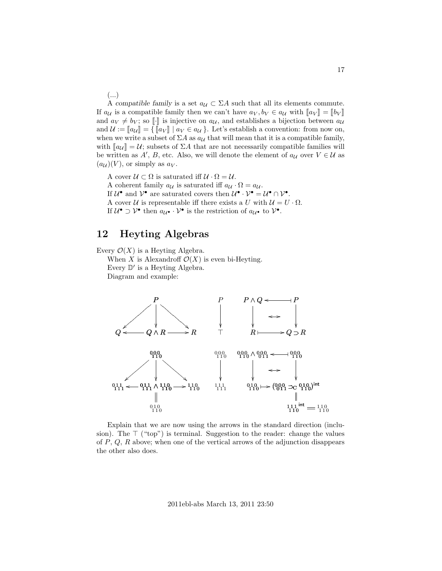(...)

A compatible family is a set  $a_{\mathcal{U}} \subset \Sigma A$  such that all its elements commute. If  $a_{\mathcal{U}}$  is a compatible family then we can't have  $a_V, b_V \in a_{\mathcal{U}}$  with  $\llbracket a_V \rrbracket = \llbracket b_V \rrbracket$ and  $a_V \neq b_V$ ; so  $\llbracket \cdot \rrbracket$  is injective on  $a_U$ , and establishes a bijection between  $a_U$ and  $\mathcal{U} := [\![a_{\mathcal{U}}]\!] = {\{[\![a_V]\!] \mid a_V \in a_{\mathcal{U}}\} }$ . Let's establish a convention: from now on, when we write a subset of  $\Sigma A$  as  $a_{\mathcal{U}}$  that will mean that it is a compatible family, with  $\llbracket a_U \rrbracket = U$ ; subsets of  $\Sigma A$  that are not necessarily compatible families will be written as  $A'$ , B, etc. Also, we will denote the element of  $a_{\mathcal{U}}$  over  $V \in \mathcal{U}$  as  $(a_{\mathcal{U}})(V)$ , or simply as  $a_V$ .

A cover  $U \subset \Omega$  is saturated iff  $U \cdot \Omega = U$ . A coherent family  $a_{\mathcal{U}}$  is saturated iff  $a_{\mathcal{U}} \cdot \Omega = a_{\mathcal{U}}$ . If  $\mathcal{U}^{\bullet}$  and  $\mathcal{V}^{\bullet}$  are saturated covers then  $\mathcal{U}^{\bullet} \cdot \mathcal{V}^{\bullet} = \mathcal{U}^{\bullet} \cap \mathcal{V}^{\bullet}$ . A cover U is representable iff there exists a U with  $U = U \cdot \Omega$ . If  $\mathcal{U}^{\bullet} \supset \mathcal{V}^{\bullet}$  then  $a_{\mathcal{U}^{\bullet}} \cdot \mathcal{V}^{\bullet}$  is the restriction of  $a_{\mathcal{U}^{\bullet}}$  to  $\mathcal{V}^{\bullet}$ .

### 12 Heyting Algebras

Every  $\mathcal{O}(X)$  is a Heyting Algebra.

When X is Alexandroff  $\mathcal{O}(X)$  is even bi-Heyting.

Every  $\mathbb{D}'$  is a Heyting Algebra.

Diagram and example:



Explain that we are now using the arrows in the standard direction (inclusion). The  $\top$  ("top") is terminal. Suggestion to the reader: change the values of  $P$ ,  $Q$ ,  $R$  above; when one of the vertical arrows of the adjunction disappears the other also does.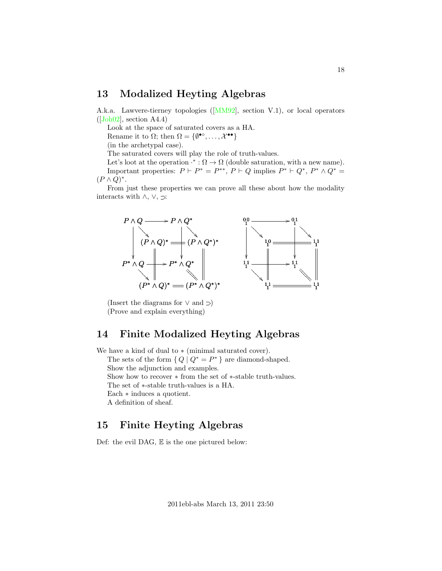### 13 Modalized Heyting Algebras

A.k.a. Lawvere-tierney topologies ([\[MM92\]](#page-22-3), section V.1), or local operators  $([Joh02],$  $([Joh02],$  $([Joh02],$  section A4.4)

Look at the space of saturated covers as a HA.

Rename it to  $\Omega$ ; then  $\Omega = \{ \emptyset^{\bullet \circ}, \dots, \mathcal{X}^{\bullet \bullet} \}$ 

(in the archetypal case).

The saturated covers will play the role of truth-values.

Let's loot at the operation  $\cdot^* : \Omega \to \Omega$  (double saturation, with a new name). Important properties:  $P \vdash P^* = P^{**}, P \vdash Q$  implies  $P^* \vdash Q^*, P^* \wedge Q^* =$  $(P \wedge Q)^*$ .

From just these properties we can prove all these about how the modality interacts with  $\land$ ,  $\lor$ ,  $\supset$ :



(Insert the diagrams for  $\lor$  and  $\supset)$ (Prove and explain everything)

### 14 Finite Modalized Heyting Algebras

We have a kind of dual to ∗ (minimal saturated cover). The sets of the form  $\{Q \mid Q^* = P^*\}$  are diamond-shaped. Show the adjunction and examples. Show how to recover ∗ from the set of ∗-stable truth-values. The set of ∗-stable truth-values is a HA. Each ∗ induces a quotient. A definition of sheaf.

### 15 Finite Heyting Algebras

Def: the evil DAG, E is the one pictured below: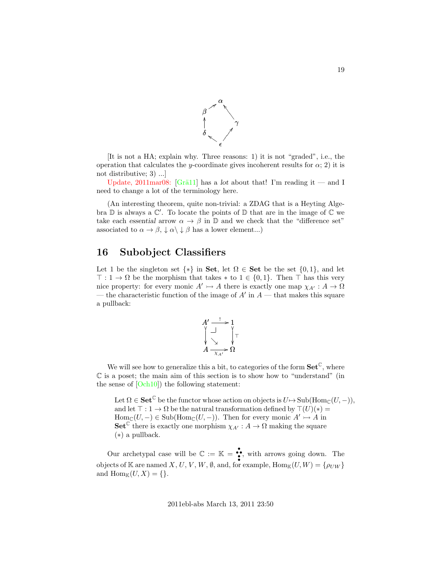

[It is not a HA; explain why. Three reasons: 1) it is not "graded", i.e., the operation that calculates the y-coordinate gives incoherent results for  $\alpha$ ; 2) it is not distributive; 3) ...]

Update, 2011mar08: [Grä11] has a lot about that! I'm reading it — and I need to change a lot of the terminology here.

(An interesting theorem, quite non-trivial: a ZDAG that is a Heyting Algebra  $\mathbb D$  is always a  $\mathbb C'$ . To locate the points of  $\mathbb D$  that are in the image of  $\mathbb C$  we take each essential arrow  $\alpha \to \beta$  in  $\mathbb D$  and we check that the "difference set" associated to  $\alpha \to \beta$ ,  $\downarrow \alpha \setminus \downarrow \beta$  has a lower element...)

## 16 Subobject Classifiers

Let 1 be the singleton set  $\{*\}$  in Set, let  $\Omega \in$  Set be the set  $\{0,1\}$ , and let  $\top : 1 \to \Omega$  be the morphism that takes  $*$  to  $1 \in \{0,1\}$ . Then  $\top$  has this very nice property: for every monic  $A' \rightarrowtail A$  there is exactly one map  $\chi_{A'} : A \rightarrow \Omega$ — the characteristic function of the image of  $A'$  in  $A$  — that makes this square a pullback:



We will see how to generalize this a bit, to categories of the form  $\mathbf{Set}^{\mathbb{C}}$ , where  $\mathbb C$  is a poset; the main aim of this section is to show how to "understand" (in the sense of [\[Och10\]](#page-22-0)) the following statement:

Let  $\Omega \in \mathbf{Set}^{\mathbb{C}}$  be the functor whose action on objects is  $U \mapsto \mathrm{Sub}(\mathrm{Hom}_{\mathbb{C}}(U,-)),$ and let  $\top : 1 \to \Omega$  be the natural transformation defined by  $\top(U)(*) =$  $\text{Hom}_{\mathbb{C}}(U, -) \in \text{Sub}(\text{Hom}_{\mathbb{C}}(U, -)).$  Then for every monic  $A' \rightarrowtail A$  in **Set<sup>C</sup>** there is exactly one morphism  $\chi_{A'}: A \to \Omega$  making the square (∗) a pullback.

Our archetypal case will be  $\mathbb{C} := \mathbb{K} = \bullet$ , with arrows going down. The objects of K are named X, U, V, W, Ø, and, for example,  $\text{Hom}_{\mathbb{K}}(U, W) = \{\rho_{UW}\}\$ and  $\text{Hom}_{\mathbb{K}}(U, X) = \{\}.$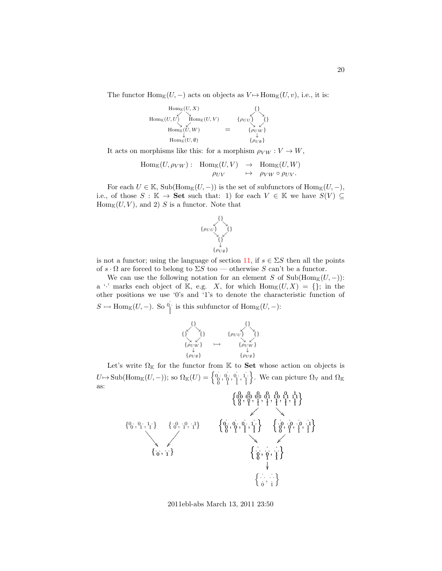The functor  $\text{Hom}_{\mathbb{K}}(U, -)$  acts on objects as  $V \mapsto \text{Hom}_{\mathbb{K}}(U, v)$ , i.e., it is:

$$
\begin{array}{ccc}\n\operatorname{Hom}_{\mathbb{K}}(U,X) & \{\} \\
\operatorname{Hom}_{\mathbb{K}}(U,U) & \operatorname{Hom}_{\mathbb{K}}(U,V) & \{\rho_{UU}\} \\
\operatorname{Hom}_{\mathbb{K}}(\tilde{U},W) & = & \{\rho_{UU}\} \\
\operatorname{Hom}_{\mathbb{K}}(U,\emptyset) & \{\rho_{U\emptyset}\} \\
\end{array}
$$

It acts on morphisms like this: for a morphism  $\rho_{VW} : V \to W$ ,

$$
\text{Hom}_{\mathbb{K}}(U, \rho_{VW}) : \text{Hom}_{\mathbb{K}}(U, V) \rightarrow \text{Hom}_{\mathbb{K}}(U, W)
$$

$$
\rho_{UV} \rightarrow \rho_{VW} \circ \rho_{UV}.
$$

For each  $U \in \mathbb{K}$ , Sub(Hom<sub>K</sub> $(U, -)$ ) is the set of subfunctors of Hom<sub>K</sub> $(U, -)$ , i.e., of those  $S : \mathbb{K} \to \mathbf{Set}$  such that: 1) for each  $V \in \mathbb{K}$  we have  $S(V) \subseteq$  $Hom_{\mathbb{K}}(U, V)$ , and 2) S is a functor. Note that



is not a functor; using the language of section [11,](#page-15-0) if  $s \in \Sigma S$  then all the points of  $s \cdot \Omega$  are forced to belong to  $\Sigma S$  too — otherwise S can't be a functor.

We can use the following notation for an element S of  $\text{Sub}(\text{Hom}_{\mathbb{K}}(U,-))$ : a '' marks each object of K, e.g. X, for which  $\text{Hom}_{\mathbb{K}}(U, X) = \{\}$ ; in the other positions we use '0's and '1's to denote the characteristic function of  $S \rightarrow \text{Hom}_{\mathbb{K}}(U, -)$ . So  $\stackrel{0}{\underset{1}{\uparrow}}$  is this subfunctor of  $\text{Hom}_{\mathbb{K}}(U, -)$ :



Let's write  $\Omega_{\mathbb{K}}$  for the functor from  $\mathbb{K}$  to **Set** whose action on objects is  $U \mapsto \mathrm{Sub}(\mathrm{Hom}_{\mathbb{K}}(U, -))$ ; so  $\Omega_{\mathbb{K}}(U) = \left\{ \begin{matrix} 0 & 0 & 0 & 1 \\ 0 & 0 & 0 & 1 \\ 0 & 0 & 1 & 1 \end{matrix} \right\}$ }. We can picture  $\Omega_{\mathbb{V}}$  and  $\Omega_{\mathbb{K}}$ as:

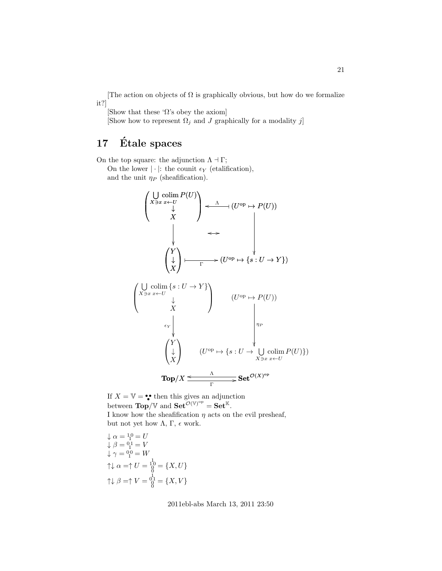[The action on objects of  $\Omega$  is graphically obvious, but how do we formalize it?]

[Show that these ' $\Omega$ 's obey the axiom]

[Show how to represent  $\Omega_j$  and  $J$  graphically for a modality  $j$ ]

## 17 Étale spaces

On the top square: the adjunction  $\Lambda \dashv \Gamma$ ;

On the lower  $|\cdot|$ : the counit  $\epsilon_Y$  (etalification), and the unit  $\eta_P$  (sheafification).

$$
\begin{pmatrix}\n\bigcup_{X \ni x} \text{colim } P(U) \\
\downarrow \\
X\n\end{pmatrix} \leftarrow \begin{pmatrix}\n\bigcup_{X} \text{colim } V \\
\downarrow \\
\downarrow \\
X\n\end{pmatrix} \longrightarrow (U^{\text{op}} \mapsto P(U))
$$
\n
$$
\begin{pmatrix}\nY \\
\downarrow \\
X\n\end{pmatrix} \longmapsto (U^{\text{op}} \mapsto \{s : U \to Y\})
$$
\n
$$
\begin{pmatrix}\n\bigcup_{X \ni x} \text{colim } \{s : U \to Y\} \\
\downarrow \\
X\n\end{pmatrix} \qquad (U^{\text{op}} \mapsto P(U))
$$
\n
$$
\begin{pmatrix}\nY \\
\downarrow \\
\downarrow \\
X\n\end{pmatrix} \qquad (U^{\text{op}} \mapsto \{s : U \to \bigcup_{X \ni x} \text{colim } P(U)\})
$$
\n
$$
\text{Top}/X \leq \frac{\Lambda}{\Gamma} \text{Set}^{\mathcal{O}(X)^{\text{op}}}
$$

If  $X = V = \bullet \bullet$  then this gives an adjunction between  $\text{Top}/\mathbb{V}$  and  $\text{Set}^{\mathcal{O}(\mathbb{V})^{\text{op}}} = \text{Set}^{\mathbb{K}}$ . I know how the sheafification  $\eta$  acts on the evil presheaf, but not yet how  $\Lambda$ ,  $\Gamma$ ,  $\epsilon$  work.

$$
\begin{aligned}\n\downarrow \alpha &= \frac{10}{1} = U \\
\downarrow \beta &= \frac{01}{1} = V \\
\downarrow \gamma &= \frac{01}{1} = W \\
\uparrow \downarrow \alpha &= \uparrow U = \frac{10}{0} = \{X, U\} \\
\uparrow \downarrow \beta &= \uparrow V = \frac{0}{0} = \{X, V\}\n\end{aligned}
$$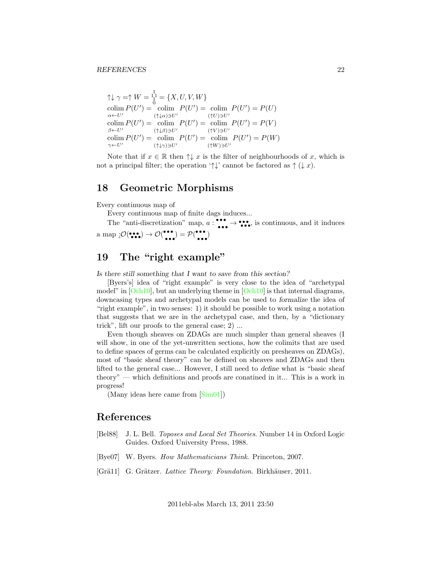$\uparrow \downarrow \gamma = \uparrow W = \frac{1}{0}^1 = \{X, U, V, W\}$  $\text{colim } P(U') = \text{colim } P(U') = \text{colim } P(U') = P(U)$  $\alpha \leftarrow U'$  $(\uparrow\downarrow\alpha)\ni U'$  $(\uparrow U)\ni U'$  $\text{colim } P(U') = \text{colim } P(U') = \text{colim } P(U') = P(V)$  $\beta \leftarrow U'$  $(\uparrow \downarrow \beta) \ni U'$  $(\uparrow\hspace{-0.15cm} V)\!\ni\!U'$  $\text{colim } P(U') = \text{colim } P(U') = \text{colim } P(U') = P(W)$  $\gamma \leftarrow U'$  $(\uparrow \downarrow \gamma) \ni U'$  $(\uparrow W)\ni U'$ 

Note that if  $x \in \mathbb{R}$  then  $\uparrow \downarrow x$  is the filter of neighbourhoods of x, which is not a principal filter; the operation ' $\uparrow \downarrow$ ' cannot be factored as  $\uparrow (\downarrow x)$ .

#### <span id="page-21-2"></span>18 Geometric Morphisms

Every continuous map of

Every continuous map of finite dags induces...

The "anti-discretization" map,  $a:$  $\bullet \bullet \bullet \bullet \bullet$ , is continuous, and it induces a map  $:\mathcal{O}(\bullet,\bullet) \to \mathcal{O}(\bullet,\bullet)$ • • • ) = P( • • • • • • )

## 19 The "right example"

Is there still something that I want to save from this section?

[Byers's] idea of "right example" is very close to the idea of "archetypal model" in  $[Och10]$ , but an underlying theme in  $[Och10]$  is that internal diagrams, downcasing types and archetypal models can be used to formalize the idea of "right example", in two senses: 1) it should be possible to work using a notation that suggests that we are in the archetypal case, and then, by a "dictionary trick", lift our proofs to the general case; 2) ...

Even though sheaves on ZDAGs are much simpler than general sheaves (I will show, in one of the yet-unwritten sections, how the colimits that are used to define spaces of germs can be calculated explicitly on presheaves on ZDAGs), most of "basic sheaf theory" can be defined on sheaves and ZDAGs and then lifted to the general case... However, I still need to define what is "basic sheaf theory" — which definitions and proofs are conatined in it... This is a work in progress!

(Many ideas here came from [\[Sim01\]](#page-22-4))

#### References

- <span id="page-21-0"></span>[Bel88] J. L. Bell. Toposes and Local Set Theories. Number 14 in Oxford Logic Guides. Oxford University Press, 1988.
- <span id="page-21-1"></span>[Bye07] W. Byers. How Mathematicians Think. Princeton, 2007.
- <span id="page-21-3"></span>[Grä11] G. Grätzer. Lattice Theory: Foundation. Birkhäuser, 2011.